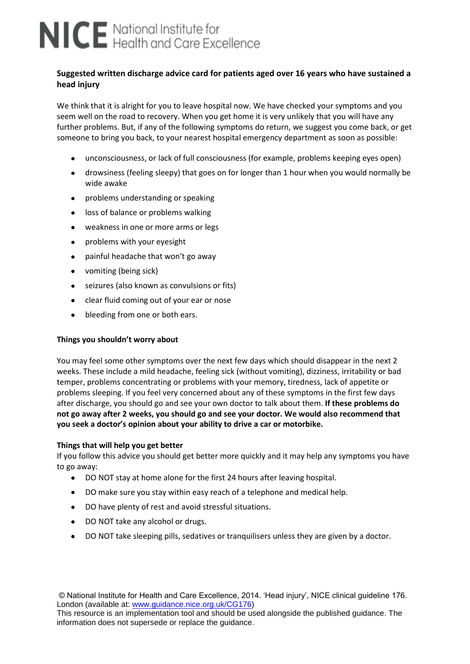# NICE National Institute for<br>NICE Health and Care Excellence

# **Suggested written discharge advice card for patients aged over 16 years who have sustained a head injury**

We think that it is alright for you to leave hospital now. We have checked your symptoms and you seem well on the road to recovery. When you get home it is very unlikely that you will have any further problems. But, if any of the following symptoms do return, we suggest you come back, or get someone to bring you back, to your nearest hospital emergency department as soon as possible:

- unconsciousness, or lack of full consciousness (for example, problems keeping eyes open)
- drowsiness (feeling sleepy) that goes on for longer than 1 hour when you would normally be  $\bullet$ wide awake
- problems understanding or speaking  $\bullet$
- loss of balance or problems walking  $\bullet$
- $\bullet$ weakness in one or more arms or legs
- problems with your eyesight  $\bullet$
- $\bullet$ painful headache that won't go away
- $\bullet$ vomiting (being sick)
- seizures (also known as convulsions or fits)
- $\bullet$ clear fluid coming out of your ear or nose
- bleeding from one or both ears.  $\bullet$

### **Things you shouldn't worry about**

You may feel some other symptoms over the next few days which should disappear in the next 2 weeks. These include a mild headache, feeling sick (without vomiting), dizziness, irritability or bad temper, problems concentrating or problems with your memory, tiredness, lack of appetite or problems sleeping. If you feel very concerned about any of these symptoms in the first few days after discharge, you should go and see your own doctor to talk about them. **If these problems do not go away after 2 weeks, you should go and see your doctor. We would also recommend that you seek a doctor's opinion about your ability to drive a car or motorbike.** 

### **Things that will help you get better**

If you follow this advice you should get better more quickly and it may help any symptoms you have to go away:

- DO NOT stay at home alone for the first 24 hours after leaving hospital.  $\bullet$
- $\bullet$ DO make sure you stay within easy reach of a telephone and medical help.
- DO have plenty of rest and avoid stressful situations.
- DO NOT take any alcohol or drugs.
- $\bullet$ DO NOT take sleeping pills, sedatives or tranquilisers unless they are given by a doctor.

© National Institute for Health and Care Excellence, 2014. 'Head injury', NICE clinical guideline 176. London (available at: www.guidance.nice.org.uk/CG176)

This resource is an implementation tool and should be used alongside the published guidance. The information does not supersede or replace the guidance.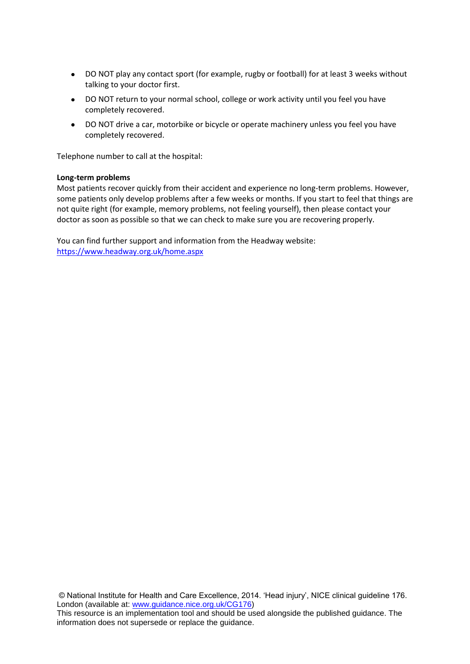- DO NOT play any contact sport (for example, rugby or football) for at least 3 weeks without  $\bullet$ talking to your doctor first.
- DO NOT return to your normal school, college or work activity until you feel you have completely recovered.
- $\bullet$ DO NOT drive a car, motorbike or bicycle or operate machinery unless you feel you have completely recovered.

Telephone number to call at the hospital:

#### **Long-term problems**

Most patients recover quickly from their accident and experience no long-term problems. However, some patients only develop problems after a few weeks or months. If you start to feel that things are not quite right (for example, memory problems, not feeling yourself), then please contact your doctor as soon as possible so that we can check to make sure you are recovering properly.

You can find further support and information from the Headway website: <https://www.headway.org.uk/home.aspx>

© National Institute for Health and Care Excellence, 2014. 'Head injury', NICE clinical guideline 176. London (available at: www.guidance.nice.org.uk/CG176)

This resource is an implementation tool and should be used alongside the published guidance. The information does not supersede or replace the guidance.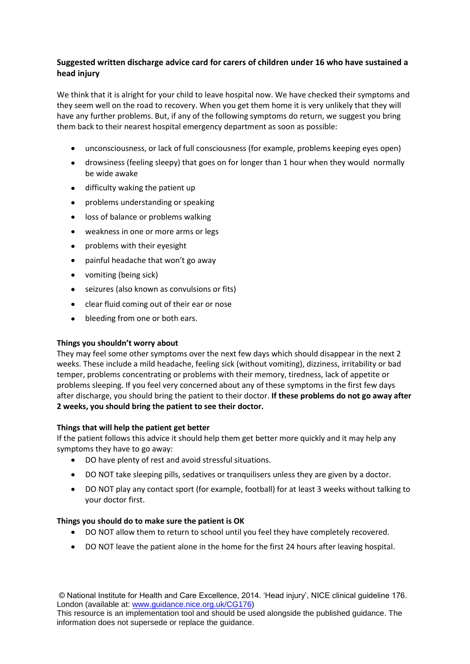# **Suggested written discharge advice card for carers of children under 16 who have sustained a head injury**

We think that it is alright for your child to leave hospital now. We have checked their symptoms and they seem well on the road to recovery. When you get them home it is very unlikely that they will have any further problems. But, if any of the following symptoms do return, we suggest you bring them back to their nearest hospital emergency department as soon as possible:

- unconsciousness, or lack of full consciousness (for example, problems keeping eyes open)  $\bullet$
- drowsiness (feeling sleepy) that goes on for longer than 1 hour when they would normally  $\bullet$ be wide awake
- $\bullet$ difficulty waking the patient up
- problems understanding or speaking  $\bullet$
- loss of balance or problems walking  $\bullet$
- weakness in one or more arms or legs  $\bullet$
- $\bullet$ problems with their eyesight
- painful headache that won't go away  $\bullet$
- vomiting (being sick)
- seizures (also known as convulsions or fits)  $\bullet$
- clear fluid coming out of their ear or nose
- bleeding from one or both ears.  $\bullet$

# **Things you shouldn't worry about**

They may feel some other symptoms over the next few days which should disappear in the next 2 weeks. These include a mild headache, feeling sick (without vomiting), dizziness, irritability or bad temper, problems concentrating or problems with their memory, tiredness, lack of appetite or problems sleeping. If you feel very concerned about any of these symptoms in the first few days after discharge, you should bring the patient to their doctor. **If these problems do not go away after 2 weeks, you should bring the patient to see their doctor.** 

# **Things that will help the patient get better**

If the patient follows this advice it should help them get better more quickly and it may help any symptoms they have to go away:

- DO have plenty of rest and avoid stressful situations.
- DO NOT take sleeping pills, sedatives or tranquilisers unless they are given by a doctor.
- DO NOT play any contact sport (for example, football) for at least 3 weeks without talking to your doctor first.

# **Things you should do to make sure the patient is OK**

- DO NOT allow them to return to school until you feel they have completely recovered.
- DO NOT leave the patient alone in the home for the first 24 hours after leaving hospital.

© National Institute for Health and Care Excellence, 2014. 'Head injury', NICE clinical guideline 176. London (available at: www.guidance.nice.org.uk/CG176)

This resource is an implementation tool and should be used alongside the published guidance. The information does not supersede or replace the guidance.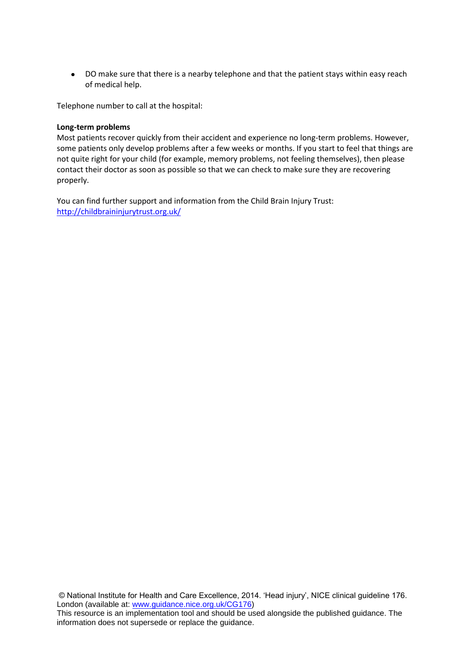DO make sure that there is a nearby telephone and that the patient stays within easy reach of medical help.

Telephone number to call at the hospital:

#### **Long-term problems**

Most patients recover quickly from their accident and experience no long-term problems. However, some patients only develop problems after a few weeks or months. If you start to feel that things are not quite right for your child (for example, memory problems, not feeling themselves), then please contact their doctor as soon as possible so that we can check to make sure they are recovering properly.

You can find further support and information from the Child Brain Injury Trust: <http://childbraininjurytrust.org.uk/>

© National Institute for Health and Care Excellence, 2014. 'Head injury', NICE clinical guideline 176. London (available at: www.guidance.nice.org.uk/CG176)

This resource is an implementation tool and should be used alongside the published guidance. The information does not supersede or replace the guidance.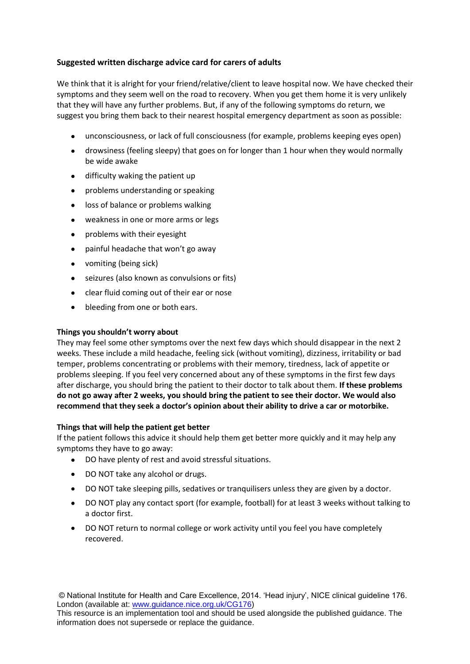# **Suggested written discharge advice card for carers of adults**

We think that it is alright for your friend/relative/client to leave hospital now. We have checked their symptoms and they seem well on the road to recovery. When you get them home it is very unlikely that they will have any further problems. But, if any of the following symptoms do return, we suggest you bring them back to their nearest hospital emergency department as soon as possible:

- unconsciousness, or lack of full consciousness (for example, problems keeping eyes open)
- drowsiness (feeling sleepy) that goes on for longer than 1 hour when they would normally be wide awake
- difficulty waking the patient up  $\bullet$
- problems understanding or speaking  $\bullet$
- loss of balance or problems walking  $\bullet$
- weakness in one or more arms or legs  $\bullet$
- problems with their eyesight  $\bullet$
- painful headache that won't go away  $\bullet$
- $\bullet$ vomiting (being sick)
- seizures (also known as convulsions or fits)  $\bullet$
- clear fluid coming out of their ear or nose
- bleeding from one or both ears.  $\bullet$

## **Things you shouldn't worry about**

They may feel some other symptoms over the next few days which should disappear in the next 2 weeks. These include a mild headache, feeling sick (without vomiting), dizziness, irritability or bad temper, problems concentrating or problems with their memory, tiredness, lack of appetite or problems sleeping. If you feel very concerned about any of these symptoms in the first few days after discharge, you should bring the patient to their doctor to talk about them. **If these problems do not go away after 2 weeks, you should bring the patient to see their doctor. We would also recommend that they seek a doctor's opinion about their ability to drive a car or motorbike.**

### **Things that will help the patient get better**

If the patient follows this advice it should help them get better more quickly and it may help any symptoms they have to go away:

- DO have plenty of rest and avoid stressful situations.
- $\bullet$ DO NOT take any alcohol or drugs.
- DO NOT take sleeping pills, sedatives or tranquilisers unless they are given by a doctor.
- $\bullet$ DO NOT play any contact sport (for example, football) for at least 3 weeks without talking to a doctor first.
- DO NOT return to normal college or work activity until you feel you have completely  $\bullet$ recovered.

© National Institute for Health and Care Excellence, 2014. 'Head injury', NICE clinical guideline 176. London (available at: www.guidance.nice.org.uk/CG176)

This resource is an implementation tool and should be used alongside the published guidance. The information does not supersede or replace the guidance.